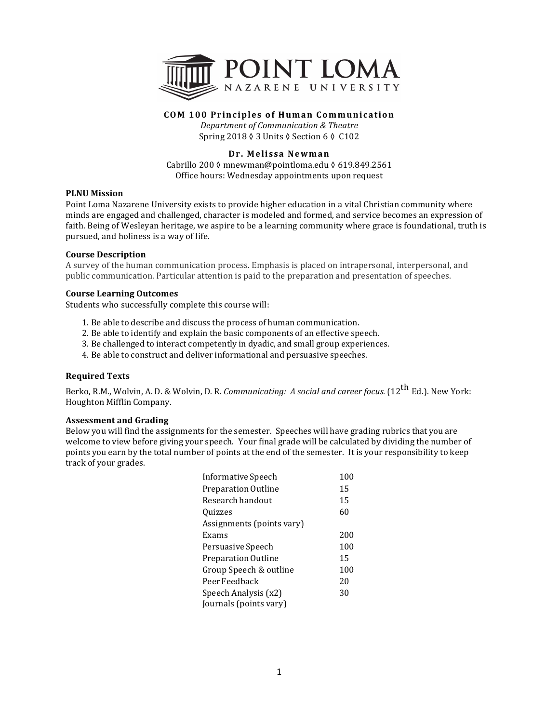

# **COM 100 Principles of Human Communication**

*Department of Communication & Theatre* Spring 2018 ♦ 3 Units ♦ Section 6 ♦ C102

# **Dr. Melissa Newman**

Cabrillo 200 ◊ mnewman@pointloma.edu ◊ 619.849.2561 Office hours: Wednesday appointments upon request

## **PLNU** Mission

Point Loma Nazarene University exists to provide higher education in a vital Christian community where minds are engaged and challenged, character is modeled and formed, and service becomes an expression of faith. Being of Wesleyan heritage, we aspire to be a learning community where grace is foundational, truth is pursued, and holiness is a way of life.

## **Course Description**

A survey of the human communication process. Emphasis is placed on intrapersonal, interpersonal, and public communication. Particular attention is paid to the preparation and presentation of speeches.

## **Course Learning Outcomes**

Students who successfully complete this course will:

- 1. Be able to describe and discuss the process of human communication.
- 2. Be able to identify and explain the basic components of an effective speech.
- 3. Be challenged to interact competently in dyadic, and small group experiences.
- 4. Be able to construct and deliver informational and persuasive speeches.

## **Required Texts**

Berko, R.M., Wolvin, A. D. & Wolvin, D. R. *Communicating: A social and career focus.* (12<sup>th</sup> Ed.). New York: Houghton Mifflin Company.

### **Assessment and Grading**

Below you will find the assignments for the semester. Speeches will have grading rubrics that you are welcome to view before giving your speech. Your final grade will be calculated by dividing the number of points you earn by the total number of points at the end of the semester. It is your responsibility to keep track of your grades.

| Informative Speech        | 100 |
|---------------------------|-----|
| Preparation Outline       | 15  |
| Research handout          | 15  |
| Quizzes                   | 60  |
| Assignments (points vary) |     |
| Exams                     | 200 |
| Persuasive Speech         | 100 |
| Preparation Outline       | 15  |
| Group Speech & outline    | 100 |
| Peer Feedback             | 20  |
| Speech Analysis (x2)      | 30  |
| Journals (points vary)    |     |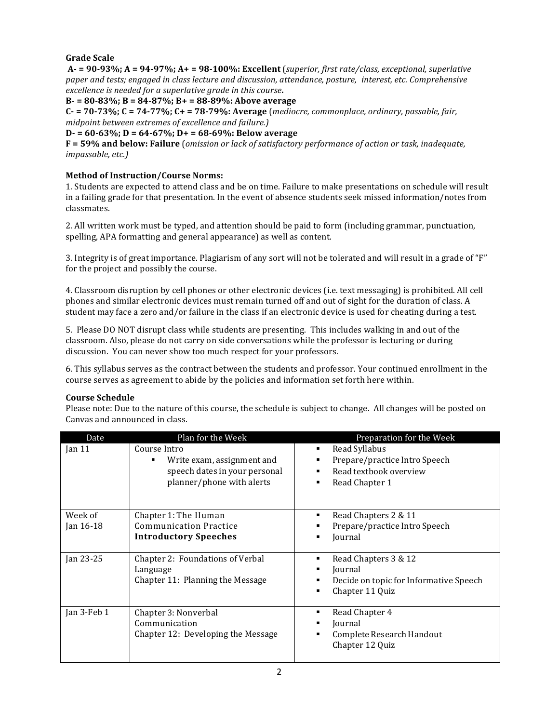# **Grade Scale**

**A-** = 90-93%; A = 94-97%; A + = 98-100%: Excellent (superior, first rate/class, exceptional, superlative *paper and tests; engaged in class lecture and discussion, attendance, posture, interest, etc. Comprehensive excellence is needed for a superlative grade in this course.* 

**B- = 80-83%; B = 84-87%; B+ = 88-89%: Above average**

 $C - 70 - 73\%$ ;  $C = 74 - 77\%$ ;  $C + 73\%$ ;  $C + 79\%$ ; Average (*mediocre, commonplace, ordinary, passable, fair, midpoint between extremes of excellence and failure.)* 

## **D- = 60-63%; D = 64-67%; D+ = 68-69%: Below average**

**F = 59% and below: Failure** (*omission or lack of satisfactory performance of action or task, inadequate, impassable, etc.)*

# **Method of Instruction/Course Norms:**

1. Students are expected to attend class and be on time. Failure to make presentations on schedule will result in a failing grade for that presentation. In the event of absence students seek missed information/notes from classmates. 

2. All written work must be typed, and attention should be paid to form (including grammar, punctuation, spelling, APA formatting and general appearance) as well as content.

3. Integrity is of great importance. Plagiarism of any sort will not be tolerated and will result in a grade of "F" for the project and possibly the course.

4. Classroom disruption by cell phones or other electronic devices (i.e. text messaging) is prohibited. All cell phones and similar electronic devices must remain turned off and out of sight for the duration of class. A student may face a zero and/or failure in the class if an electronic device is used for cheating during a test.

5. Please DO NOT disrupt class while students are presenting. This includes walking in and out of the classroom. Also, please do not carry on side conversations while the professor is lecturing or during discussion. You can never show too much respect for your professors.

6. This syllabus serves as the contract between the students and professor. Your continued enrollment in the course serves as agreement to abide by the policies and information set forth here within.

## **Course Schedule**

Please note: Due to the nature of this course, the schedule is subject to change. All changes will be posted on Canvas and announced in class.

| Date                 | Plan for the Week                                                                                        | Preparation for the Week                                                                          |
|----------------------|----------------------------------------------------------------------------------------------------------|---------------------------------------------------------------------------------------------------|
| $\tan 11$            | Course Intro<br>Write exam, assignment and<br>speech dates in your personal<br>planner/phone with alerts | Read Syllabus<br>٠<br>Prepare/practice Intro Speech<br>Read textbook overview<br>Read Chapter 1   |
| Week of<br>Jan 16-18 | Chapter 1: The Human<br>Communication Practice<br><b>Introductory Speeches</b>                           | Read Chapters 2 & 11<br>Prepare/practice Intro Speech<br>Journal                                  |
| Jan 23-25            | Chapter 2: Foundations of Verbal<br>Language<br>Chapter 11: Planning the Message                         | Read Chapters 3 & 12<br>Journal<br>Decide on topic for Informative Speech<br>Chapter 11 Quiz<br>٠ |
| Jan 3-Feb 1          | Chapter 3: Nonverbal<br>Communication<br>Chapter 12: Developing the Message                              | Read Chapter 4<br>Journal<br>Complete Research Handout<br>٠<br>Chapter 12 Quiz                    |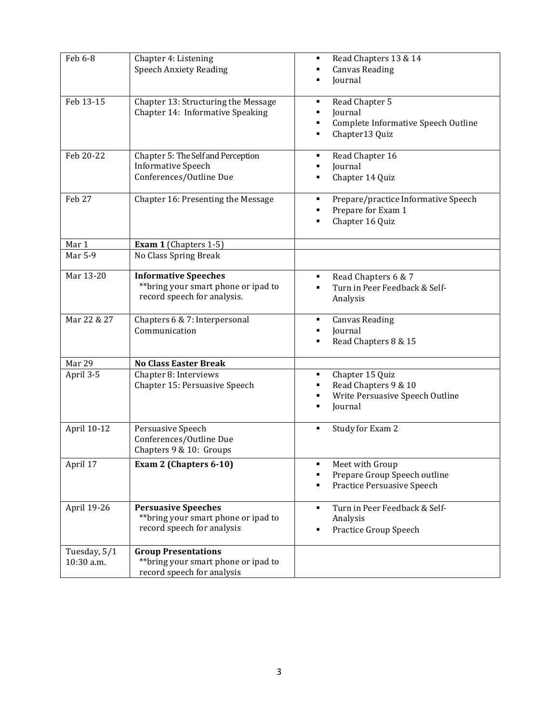| Feb 6-8      | Chapter 4: Listening<br><b>Speech Anxiety Reading</b>                                              | Read Chapters 13 & 14<br>٠<br><b>Canvas Reading</b><br>Journal                                  |
|--------------|----------------------------------------------------------------------------------------------------|-------------------------------------------------------------------------------------------------|
| Feb 13-15    | Chapter 13: Structuring the Message<br>Chapter 14: Informative Speaking                            | Read Chapter 5<br>٠<br>Journal<br>Complete Informative Speech Outline<br>Chapter13 Quiz         |
| Feb 20-22    | Chapter 5: The Self and Perception<br><b>Informative Speech</b><br>Conferences/Outline Due         | Read Chapter 16<br>٠<br>Journal<br>Chapter 14 Quiz                                              |
| Feb 27       | Chapter 16: Presenting the Message                                                                 | Prepare/practice Informative Speech<br>Prepare for Exam 1<br>Chapter 16 Quiz                    |
| Mar 1        | Exam 1 (Chapters 1-5)                                                                              |                                                                                                 |
| Mar 5-9      | No Class Spring Break                                                                              |                                                                                                 |
| Mar 13-20    | <b>Informative Speeches</b><br>** bring your smart phone or ipad to<br>record speech for analysis. | Read Chapters 6 & 7<br>٠<br>Turn in Peer Feedback & Self-<br>Analysis                           |
| Mar 22 & 27  | Chapters 6 & 7: Interpersonal<br>Communication                                                     | <b>Canvas Reading</b><br>Journal<br>Read Chapters 8 & 15                                        |
| Mar 29       | <b>No Class Easter Break</b>                                                                       |                                                                                                 |
| April 3-5    | Chapter 8: Interviews<br>Chapter 15: Persuasive Speech                                             | Chapter 15 Quiz<br>٠<br>Read Chapters 9 & 10<br>٠<br>Write Persuasive Speech Outline<br>Journal |
| April 10-12  | Persuasive Speech<br>Conferences/Outline Due<br>Chapters 9 & 10: Groups                            | Study for Exam 2<br>٠                                                                           |
| April 17     | Exam 2 (Chapters 6-10)                                                                             | Meet with Group<br>٠<br>Prepare Group Speech outline<br>Practice Persuasive Speech<br>٠         |
| April 19-26  | <b>Persuasive Speeches</b><br>** bring your smart phone or ipad to<br>record speech for analysis   | Turn in Peer Feedback & Self-<br>٠<br>Analysis<br><b>Practice Group Speech</b><br>٠             |
| Tuesday, 5/1 | <b>Group Presentations</b>                                                                         |                                                                                                 |
| 10:30 a.m.   | ** bring your smart phone or ipad to<br>record speech for analysis                                 |                                                                                                 |